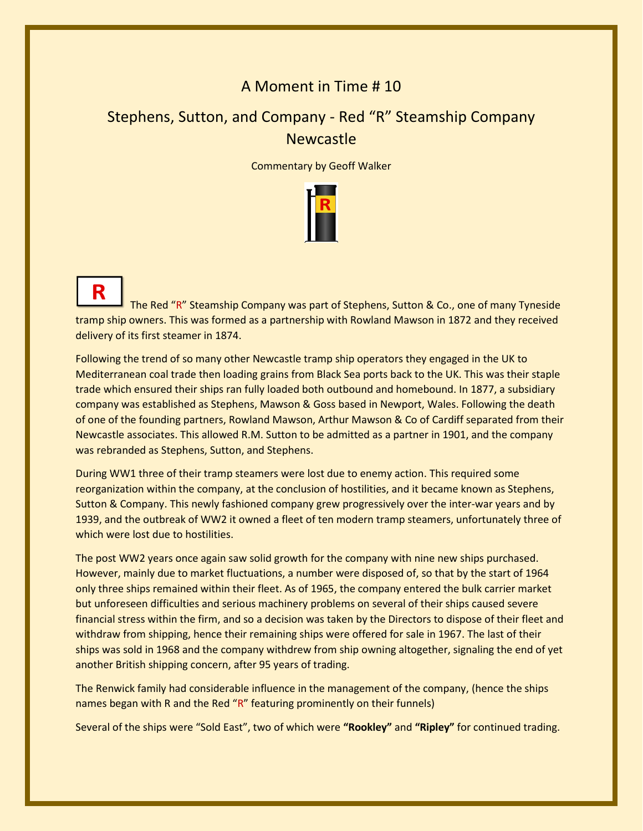## A Moment in Time # 10

## Stephens, Sutton, and Company - Red "R" Steamship Company **Newcastle**

Commentary by Geoff Walker



R The Red "R" Steamship Company was part of Stephens, Sutton & Co., one of many Tyneside tramp ship owners. This was formed as a partnership with Rowland Mawson in 1872 and they received delivery of its first steamer in 1874.

Following the trend of so many other Newcastle tramp ship operators they engaged in the UK to Mediterranean coal trade then loading grains from Black Sea ports back to the UK. This was their staple trade which ensured their ships ran fully loaded both outbound and homebound. In 1877, a subsidiary company was established as Stephens, Mawson & Goss based in Newport, Wales. Following the death of one of the founding partners, Rowland Mawson, Arthur Mawson & Co of Cardiff separated from their Newcastle associates. This allowed R.M. Sutton to be admitted as a partner in 1901, and the company was rebranded as Stephens, Sutton, and Stephens.

During WW1 three of their tramp steamers were lost due to enemy action. This required some reorganization within the company, at the conclusion of hostilities, and it became known as Stephens, Sutton & Company. This newly fashioned company grew progressively over the inter-war years and by 1939, and the outbreak of WW2 it owned a fleet of ten modern tramp steamers, unfortunately three of which were lost due to hostilities.

The post WW2 years once again saw solid growth for the company with nine new ships purchased. However, mainly due to market fluctuations, a number were disposed of, so that by the start of 1964 only three ships remained within their fleet. As of 1965, the company entered the bulk carrier market but unforeseen difficulties and serious machinery problems on several of their ships caused severe financial stress within the firm, and so a decision was taken by the Directors to dispose of their fleet and withdraw from shipping, hence their remaining ships were offered for sale in 1967. The last of their ships was sold in 1968 and the company withdrew from ship owning altogether, signaling the end of yet another British shipping concern, after 95 years of trading.

The Renwick family had considerable influence in the management of the company, (hence the ships names began with R and the Red "R" featuring prominently on their funnels)

Several of the ships were "Sold East", two of which were **"Rookley"** and **"Ripley"** for continued trading.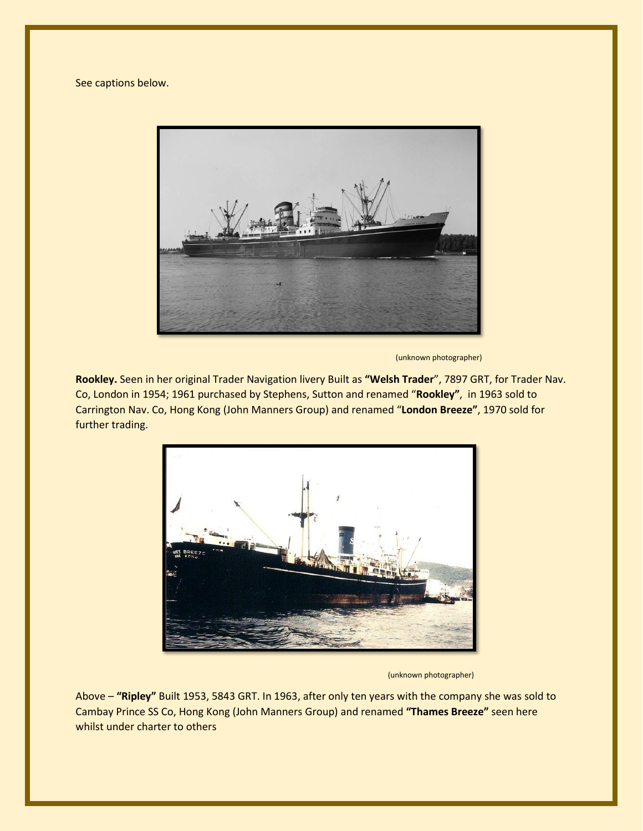See captions below.



(unknown photographer)

**Rookley.** Seen in her original Trader Navigation livery Built as **"Welsh Trader**", 7897 GRT, for Trader Nav. Co, London in 1954; 1961 purchased by Stephens, Sutton and renamed "**Rookley"**, in 1963 sold to Carrington Nav. Co, Hong Kong (John Manners Group) and renamed "**London Breeze"**, 1970 sold for further trading.



(unknown photographer)

Above – **"Ripley"** Built 1953, 5843 GRT. In 1963, after only ten years with the company she was sold to Cambay Prince SS Co, Hong Kong (John Manners Group) and renamed **"Thames Breeze"** seen here whilst under charter to others